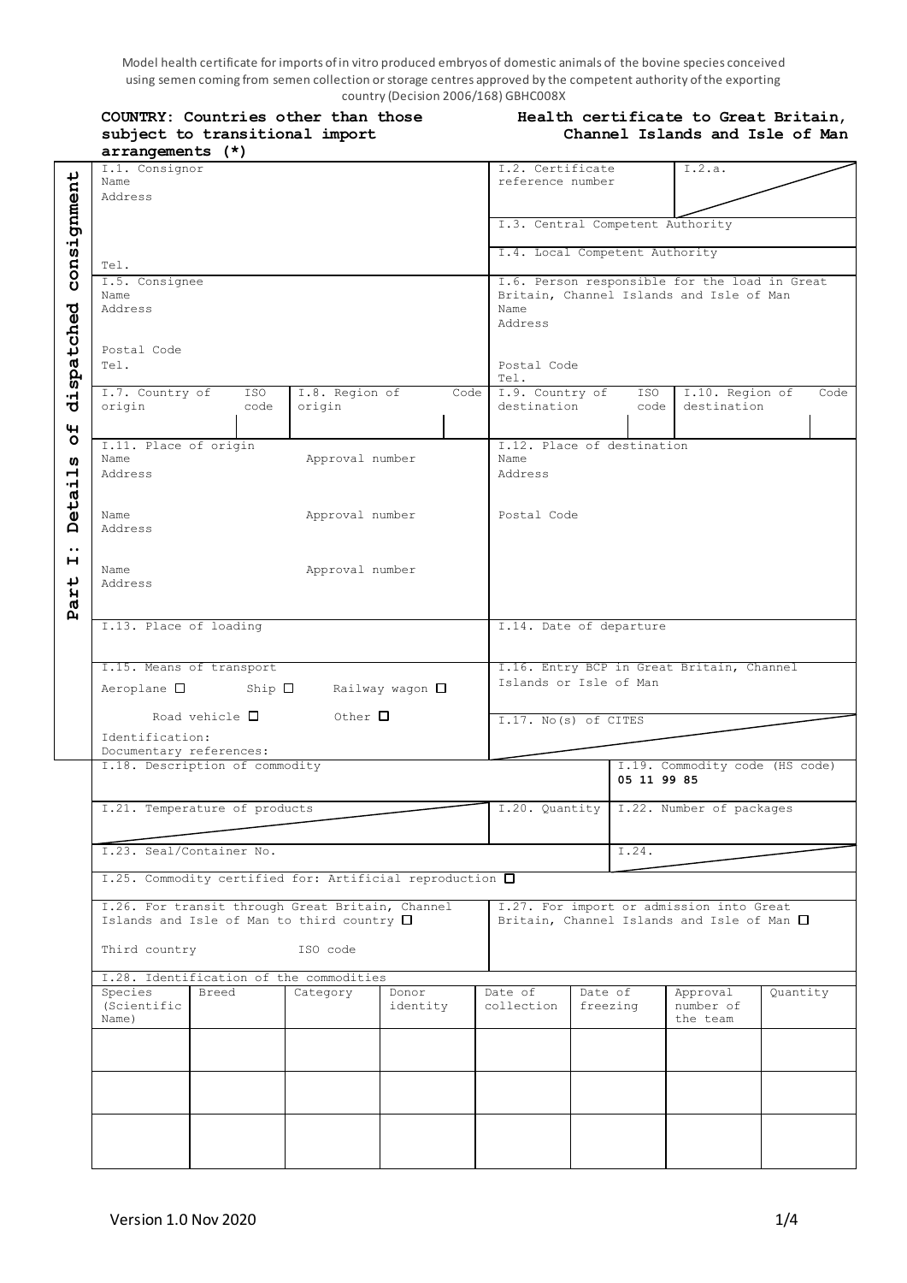Model health certificate for imports of in vitro produced embryos of domestic animals of the bovine species conceived using semen coming from semen collection or storage centres approved by the competent authority of the exporting  $\frac{1}{2}$  country (Decision 2006/168) GBHC008X<br> **C** than those **Heal th** 

| COUNTRY: Countries other than those<br>subject to transitional import<br>arrangements (*)              | Health certificate to Great Britain,<br>Channel Islands and Isle of Man                                                             |                                                                                             |                                      |                                   |          |  |  |
|--------------------------------------------------------------------------------------------------------|-------------------------------------------------------------------------------------------------------------------------------------|---------------------------------------------------------------------------------------------|--------------------------------------|-----------------------------------|----------|--|--|
| I.1. Consignor<br>Name<br>Address                                                                      |                                                                                                                                     |                                                                                             | I.2. Certificate<br>reference number | I.2.a.                            |          |  |  |
|                                                                                                        |                                                                                                                                     | I.3. Central Competent Authority                                                            |                                      |                                   |          |  |  |
| Tel.                                                                                                   |                                                                                                                                     |                                                                                             |                                      | I.4. Local Competent Authority    |          |  |  |
| I.5. Consignee<br>Name<br>Address                                                                      | I.6. Person responsible for the load in Great<br>Britain, Channel Islands and Isle of Man<br>Name<br>Address<br>Postal Code<br>Tel. |                                                                                             |                                      |                                   |          |  |  |
| Postal Code<br>Tel.                                                                                    |                                                                                                                                     |                                                                                             |                                      |                                   |          |  |  |
| I.7. Country of<br>ISO<br>origin<br>code                                                               | I.8. Region of<br>Code<br>origin                                                                                                    | I.9. Country of<br>destination                                                              | ISO<br>code                          | I.10. Region of<br>destination    | Code     |  |  |
| I.11. Place of origin<br>Name<br>Address                                                               | Approval number                                                                                                                     | T.12. Place of destination<br>Name<br>Address                                               |                                      |                                   |          |  |  |
| Name<br>Address                                                                                        | Approval number                                                                                                                     | Postal Code                                                                                 |                                      |                                   |          |  |  |
| Name<br>Address                                                                                        | Approval number                                                                                                                     |                                                                                             |                                      |                                   |          |  |  |
| I.13. Place of loading                                                                                 | I.14. Date of departure                                                                                                             |                                                                                             |                                      |                                   |          |  |  |
| I.15. Means of transport<br>Aeroplane $\square$ Ship $\square$ Railway wagon $\square$                 |                                                                                                                                     | I.16. Entry BCP in Great Britain, Channel<br>Islands or Isle of Man<br>I.17. No(s) of CITES |                                      |                                   |          |  |  |
| Road vehicle $\Box$ Other $\Box$<br>Identification:<br>Documentary references:                         |                                                                                                                                     |                                                                                             |                                      |                                   |          |  |  |
| I.18. Description of commodity                                                                         |                                                                                                                                     | I.19. Commodity code (HS code)<br>05 11 99 85                                               |                                      |                                   |          |  |  |
| I.21. Temperature of products                                                                          |                                                                                                                                     | I.20. Quantity   I.22. Number of packages                                                   |                                      |                                   |          |  |  |
| I.23. Seal/Container No.                                                                               | I.25. Commodity certified for: Artificial reproduction □                                                                            |                                                                                             | I.24.                                |                                   |          |  |  |
| I.26. For transit through Great Britain, Channel<br>Islands and Isle of Man to third country $\square$ | I.27. For import or admission into Great<br>Britain, Channel Islands and Isle of Man $\square$                                      |                                                                                             |                                      |                                   |          |  |  |
| Third country                                                                                          | ISO code                                                                                                                            |                                                                                             |                                      |                                   |          |  |  |
| I.28. Identification of the commodities<br>Species<br>Breed<br>(Scientific<br>Name)                    | Category<br>Donor<br>identity                                                                                                       | Date of<br>collection                                                                       | Date of<br>freezing                  | Approval<br>number of<br>the team | Quantity |  |  |
|                                                                                                        |                                                                                                                                     |                                                                                             |                                      |                                   |          |  |  |
|                                                                                                        |                                                                                                                                     |                                                                                             |                                      |                                   |          |  |  |
|                                                                                                        |                                                                                                                                     |                                                                                             |                                      |                                   |          |  |  |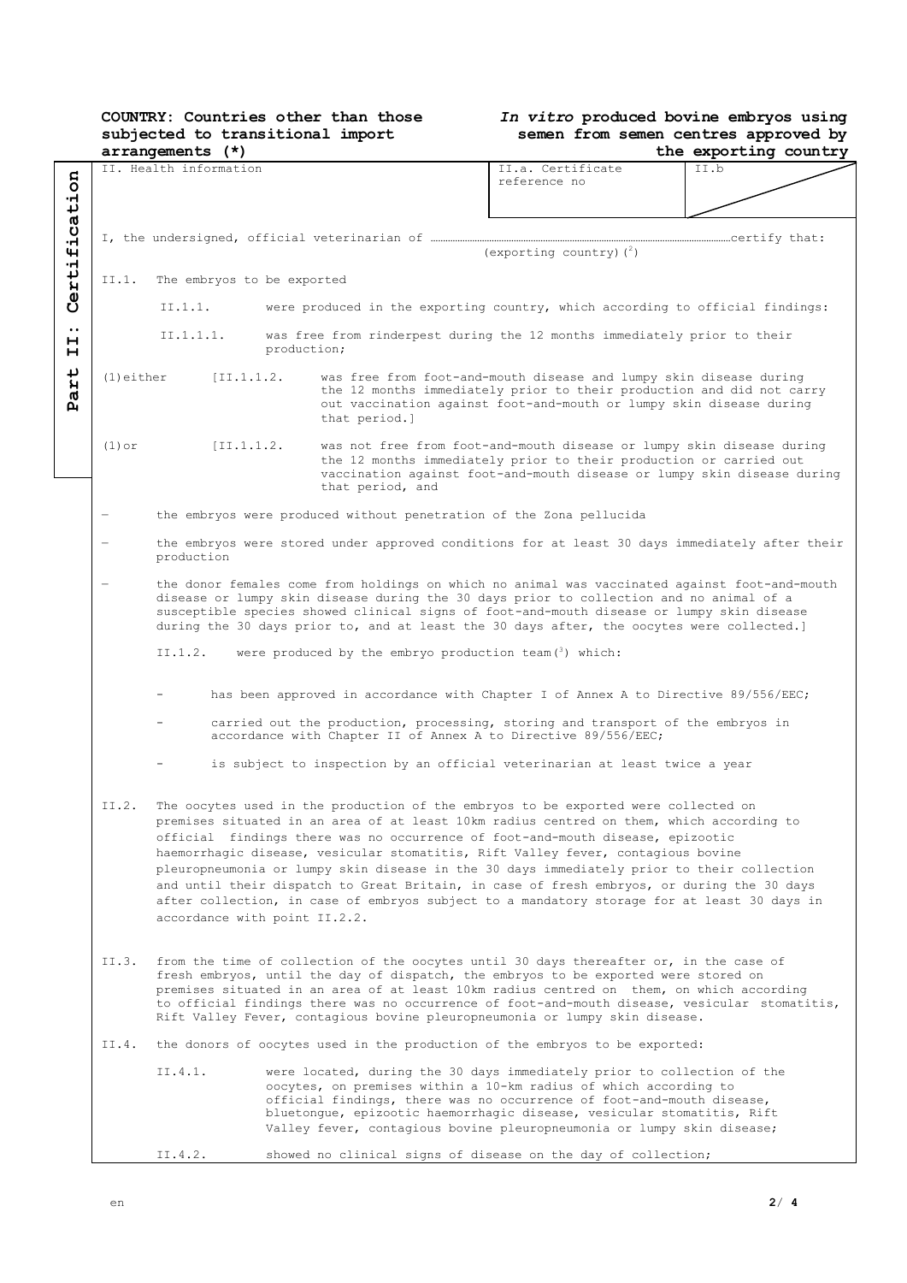# **COUNTRY: Countries other than those subjected to transitional import**

## *In vitro* **produced bovine embryos using semen from semen centres approved by**

|                                                                     | $arrangements (*)$                                                                                                                                                                                                                                                                                                                                                                                                                                                                                 |                                                                                                                                                                                                                                                                                                                                                                                                                                                                                                                                                                                                                                                                                  |                                   |                                                                     | the exporting country                                                                                                                                                                                                  |  |  |  |
|---------------------------------------------------------------------|----------------------------------------------------------------------------------------------------------------------------------------------------------------------------------------------------------------------------------------------------------------------------------------------------------------------------------------------------------------------------------------------------------------------------------------------------------------------------------------------------|----------------------------------------------------------------------------------------------------------------------------------------------------------------------------------------------------------------------------------------------------------------------------------------------------------------------------------------------------------------------------------------------------------------------------------------------------------------------------------------------------------------------------------------------------------------------------------------------------------------------------------------------------------------------------------|-----------------------------------|---------------------------------------------------------------------|------------------------------------------------------------------------------------------------------------------------------------------------------------------------------------------------------------------------|--|--|--|
| Certification                                                       | II. Health information                                                                                                                                                                                                                                                                                                                                                                                                                                                                             |                                                                                                                                                                                                                                                                                                                                                                                                                                                                                                                                                                                                                                                                                  | II.a. Certificate<br>reference no | II.b                                                                |                                                                                                                                                                                                                        |  |  |  |
|                                                                     |                                                                                                                                                                                                                                                                                                                                                                                                                                                                                                    |                                                                                                                                                                                                                                                                                                                                                                                                                                                                                                                                                                                                                                                                                  |                                   |                                                                     | (exporting country) $(^2)$                                                                                                                                                                                             |  |  |  |
|                                                                     | II.1.                                                                                                                                                                                                                                                                                                                                                                                                                                                                                              | The embryos to be exported                                                                                                                                                                                                                                                                                                                                                                                                                                                                                                                                                                                                                                                       |                                   |                                                                     |                                                                                                                                                                                                                        |  |  |  |
|                                                                     |                                                                                                                                                                                                                                                                                                                                                                                                                                                                                                    | II.1.1.<br>were produced in the exporting country, which according to official findings:                                                                                                                                                                                                                                                                                                                                                                                                                                                                                                                                                                                         |                                   |                                                                     |                                                                                                                                                                                                                        |  |  |  |
| $\bullet\bullet$<br>н<br>н                                          |                                                                                                                                                                                                                                                                                                                                                                                                                                                                                                    | II.1.1.1.<br>was free from rinderpest during the 12 months immediately prior to their<br>production;                                                                                                                                                                                                                                                                                                                                                                                                                                                                                                                                                                             |                                   |                                                                     |                                                                                                                                                                                                                        |  |  |  |
| ىد<br>H<br>d<br>ρý                                                  | $(1)$ either                                                                                                                                                                                                                                                                                                                                                                                                                                                                                       |                                                                                                                                                                                                                                                                                                                                                                                                                                                                                                                                                                                                                                                                                  | [II.1.1.2]                        | that period.]                                                       | was free from foot-and-mouth disease and lumpy skin disease during<br>the 12 months immediately prior to their production and did not carry<br>out vaccination against foot-and-mouth or lumpy skin disease during     |  |  |  |
|                                                                     | $(1)$ or                                                                                                                                                                                                                                                                                                                                                                                                                                                                                           |                                                                                                                                                                                                                                                                                                                                                                                                                                                                                                                                                                                                                                                                                  | [II.1.1.2]                        | that period, and                                                    | was not free from foot-and-mouth disease or lumpy skin disease during<br>the 12 months immediately prior to their production or carried out<br>vaccination against foot-and-mouth disease or lumpy skin disease during |  |  |  |
|                                                                     | $\qquad \qquad -$                                                                                                                                                                                                                                                                                                                                                                                                                                                                                  |                                                                                                                                                                                                                                                                                                                                                                                                                                                                                                                                                                                                                                                                                  |                                   | the embryos were produced without penetration of the Zona pellucida |                                                                                                                                                                                                                        |  |  |  |
|                                                                     | the embryos were stored under approved conditions for at least 30 days immediately after their<br>production<br>the donor females come from holdings on which no animal was vaccinated against foot-and-mouth<br>disease or lumpy skin disease during the 30 days prior to collection and no animal of a<br>susceptible species showed clinical signs of foot-and-mouth disease or lumpy skin disease<br>during the 30 days prior to, and at least the 30 days after, the oocytes were collected.] |                                                                                                                                                                                                                                                                                                                                                                                                                                                                                                                                                                                                                                                                                  |                                   |                                                                     |                                                                                                                                                                                                                        |  |  |  |
|                                                                     |                                                                                                                                                                                                                                                                                                                                                                                                                                                                                                    |                                                                                                                                                                                                                                                                                                                                                                                                                                                                                                                                                                                                                                                                                  |                                   |                                                                     |                                                                                                                                                                                                                        |  |  |  |
| were produced by the embryo production team $(3)$ which:<br>II.1.2. |                                                                                                                                                                                                                                                                                                                                                                                                                                                                                                    |                                                                                                                                                                                                                                                                                                                                                                                                                                                                                                                                                                                                                                                                                  |                                   |                                                                     |                                                                                                                                                                                                                        |  |  |  |
|                                                                     | has been approved in accordance with Chapter I of Annex A to Directive 89/556/EEC;                                                                                                                                                                                                                                                                                                                                                                                                                 |                                                                                                                                                                                                                                                                                                                                                                                                                                                                                                                                                                                                                                                                                  |                                   |                                                                     |                                                                                                                                                                                                                        |  |  |  |
|                                                                     | carried out the production, processing, storing and transport of the embryos in<br>accordance with Chapter II of Annex A to Directive 89/556/EEC;                                                                                                                                                                                                                                                                                                                                                  |                                                                                                                                                                                                                                                                                                                                                                                                                                                                                                                                                                                                                                                                                  |                                   |                                                                     |                                                                                                                                                                                                                        |  |  |  |
|                                                                     |                                                                                                                                                                                                                                                                                                                                                                                                                                                                                                    |                                                                                                                                                                                                                                                                                                                                                                                                                                                                                                                                                                                                                                                                                  |                                   |                                                                     | is subject to inspection by an official veterinarian at least twice a year                                                                                                                                             |  |  |  |
|                                                                     | II.2.                                                                                                                                                                                                                                                                                                                                                                                                                                                                                              | The oocytes used in the production of the embryos to be exported were collected on<br>premises situated in an area of at least 10km radius centred on them, which according to<br>official findings there was no occurrence of foot-and-mouth disease, epizootic<br>haemorrhagic disease, vesicular stomatitis, Rift Valley fever, contagious bovine<br>pleuropneumonia or lumpy skin disease in the 30 days immediately prior to their collection<br>and until their dispatch to Great Britain, in case of fresh embryos, or during the 30 days<br>after collection, in case of embryos subject to a mandatory storage for at least 30 days in<br>accordance with point II.2.2. |                                   |                                                                     |                                                                                                                                                                                                                        |  |  |  |
|                                                                     | from the time of collection of the oocytes until 30 days thereafter or, in the case of<br>II.3.<br>fresh embryos, until the day of dispatch, the embryos to be exported were stored on<br>premises situated in an area of at least 10km radius centred on them, on which according<br>to official findings there was no occurrence of foot-and-mouth disease, vesicular stomatitis,<br>Rift Valley Fever, contagious bovine pleuropneumonia or lumpy skin disease.                                 |                                                                                                                                                                                                                                                                                                                                                                                                                                                                                                                                                                                                                                                                                  |                                   |                                                                     |                                                                                                                                                                                                                        |  |  |  |
|                                                                     | the donors of oocytes used in the production of the embryos to be exported:<br>II.4.                                                                                                                                                                                                                                                                                                                                                                                                               |                                                                                                                                                                                                                                                                                                                                                                                                                                                                                                                                                                                                                                                                                  |                                   |                                                                     |                                                                                                                                                                                                                        |  |  |  |
|                                                                     | II.4.1.<br>were located, during the 30 days immediately prior to collection of the<br>oocytes, on premises within a 10-km radius of which according to<br>official findings, there was no occurrence of foot-and-mouth disease,<br>bluetongue, epizootic haemorrhagic disease, vesicular stomatitis, Rift<br>Valley fever, contagious bovine pleuropneumonia or lumpy skin disease;                                                                                                                |                                                                                                                                                                                                                                                                                                                                                                                                                                                                                                                                                                                                                                                                                  |                                   |                                                                     |                                                                                                                                                                                                                        |  |  |  |
|                                                                     |                                                                                                                                                                                                                                                                                                                                                                                                                                                                                                    | II.4.2.                                                                                                                                                                                                                                                                                                                                                                                                                                                                                                                                                                                                                                                                          |                                   |                                                                     | showed no clinical signs of disease on the day of collection;                                                                                                                                                          |  |  |  |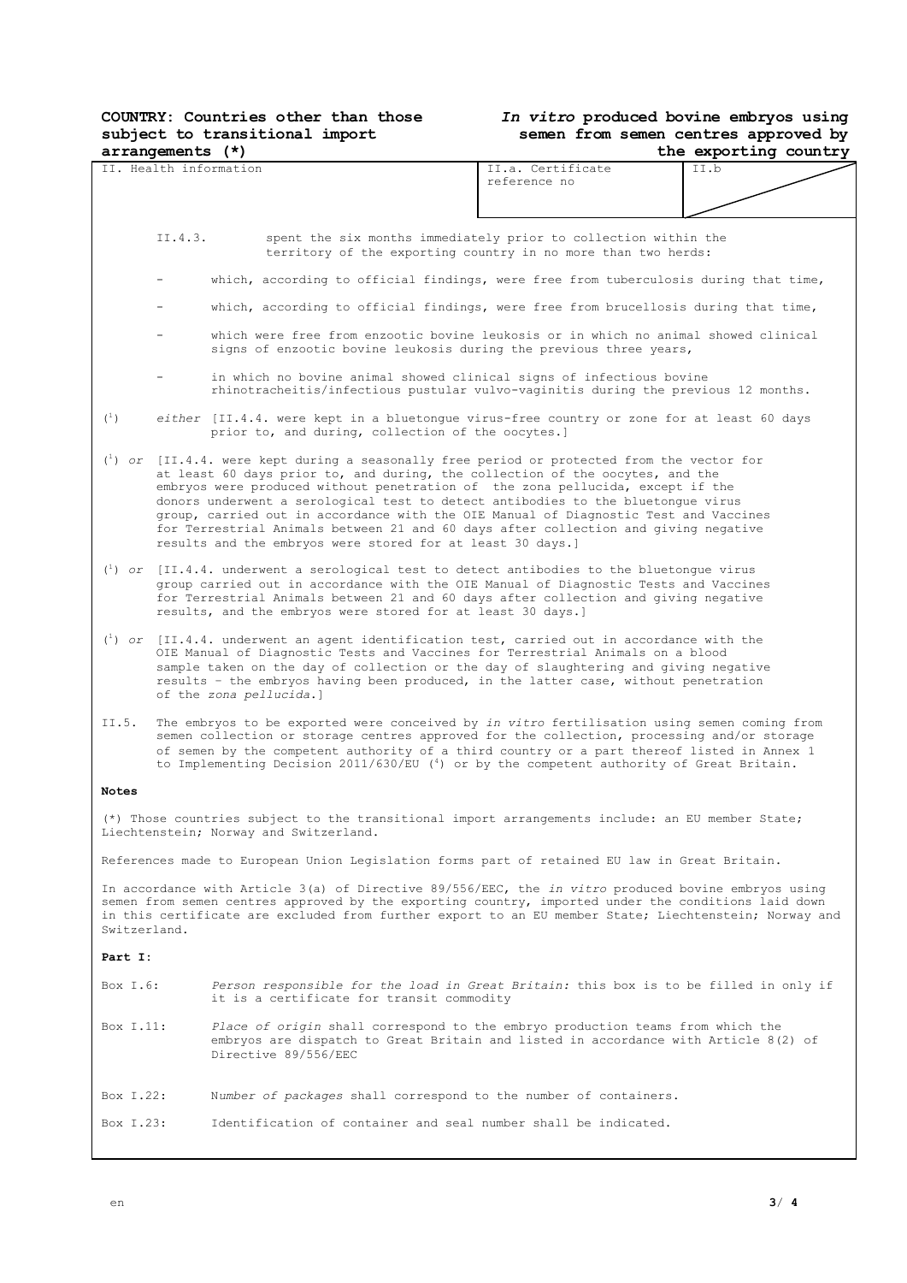## **COUNTRY: Countries other than those subject to transitional import**

## *In vitro* **produced bovine embryos using semen from semen centres approved by**

| arrangements (*)                                                                                                                                                                                                                                                                                                                      |                                                                                                                                                                                                                                                                                                                                                                                                                                                                                                                                                                                                           | the exporting country                                                                                                                                                   |                                                                                     |  |  |  |
|---------------------------------------------------------------------------------------------------------------------------------------------------------------------------------------------------------------------------------------------------------------------------------------------------------------------------------------|-----------------------------------------------------------------------------------------------------------------------------------------------------------------------------------------------------------------------------------------------------------------------------------------------------------------------------------------------------------------------------------------------------------------------------------------------------------------------------------------------------------------------------------------------------------------------------------------------------------|-------------------------------------------------------------------------------------------------------------------------------------------------------------------------|-------------------------------------------------------------------------------------|--|--|--|
| IT. Health information                                                                                                                                                                                                                                                                                                                |                                                                                                                                                                                                                                                                                                                                                                                                                                                                                                                                                                                                           | II.a. Certificate<br>reference no                                                                                                                                       | II.b                                                                                |  |  |  |
| II.4.3.                                                                                                                                                                                                                                                                                                                               |                                                                                                                                                                                                                                                                                                                                                                                                                                                                                                                                                                                                           | spent the six months immediately prior to collection within the<br>territory of the exporting country in no more than two herds:                                        |                                                                                     |  |  |  |
|                                                                                                                                                                                                                                                                                                                                       | which, according to official findings, were free from tuberculosis during that time,                                                                                                                                                                                                                                                                                                                                                                                                                                                                                                                      |                                                                                                                                                                         |                                                                                     |  |  |  |
|                                                                                                                                                                                                                                                                                                                                       |                                                                                                                                                                                                                                                                                                                                                                                                                                                                                                                                                                                                           |                                                                                                                                                                         | which, according to official findings, were free from brucellosis during that time, |  |  |  |
|                                                                                                                                                                                                                                                                                                                                       | which were free from enzootic bovine leukosis or in which no animal showed clinical<br>signs of enzootic bovine leukosis during the previous three years,                                                                                                                                                                                                                                                                                                                                                                                                                                                 |                                                                                                                                                                         |                                                                                     |  |  |  |
|                                                                                                                                                                                                                                                                                                                                       | in which no bovine animal showed clinical signs of infectious bovine<br>rhinotracheitis/infectious pustular vulvo-vaginitis during the previous 12 months.                                                                                                                                                                                                                                                                                                                                                                                                                                                |                                                                                                                                                                         |                                                                                     |  |  |  |
| $(^{1})$                                                                                                                                                                                                                                                                                                                              | either [II.4.4. were kept in a bluetongue virus-free country or zone for at least 60 days<br>prior to, and during, collection of the oocytes.]                                                                                                                                                                                                                                                                                                                                                                                                                                                            |                                                                                                                                                                         |                                                                                     |  |  |  |
|                                                                                                                                                                                                                                                                                                                                       | $\binom{1}{1}$ or [II.4.4. were kept during a seasonally free period or protected from the vector for<br>at least 60 days prior to, and during, the collection of the oocytes, and the<br>embryos were produced without penetration of the zona pellucida, except if the<br>donors underwent a serological test to detect antibodies to the bluetonque virus<br>group, carried out in accordance with the OIE Manual of Diagnostic Test and Vaccines<br>for Terrestrial Animals between 21 and 60 days after collection and giving negative<br>results and the embryos were stored for at least 30 days.] |                                                                                                                                                                         |                                                                                     |  |  |  |
|                                                                                                                                                                                                                                                                                                                                       | $\binom{1}{1}$ or [II.4.4. underwent a serological test to detect antibodies to the bluetongue virus<br>group carried out in accordance with the OIE Manual of Diagnostic Tests and Vaccines<br>for Terrestrial Animals between 21 and 60 days after collection and giving negative<br>results, and the embryos were stored for at least 30 days.]                                                                                                                                                                                                                                                        |                                                                                                                                                                         |                                                                                     |  |  |  |
|                                                                                                                                                                                                                                                                                                                                       | $\binom{1}{1}$ or [II.4.4. underwent an agent identification test, carried out in accordance with the<br>OIE Manual of Diagnostic Tests and Vaccines for Terrestrial Animals on a blood<br>sample taken on the day of collection or the day of slaughtering and giving negative<br>results - the embryos having been produced, in the latter case, without penetration<br>of the zona pellucida.]                                                                                                                                                                                                         |                                                                                                                                                                         |                                                                                     |  |  |  |
| II.5.                                                                                                                                                                                                                                                                                                                                 | The embryos to be exported were conceived by in vitro fertilisation using semen coming from<br>semen collection or storage centres approved for the collection, processing and/or storage<br>of semen by the competent authority of a third country or a part thereof listed in Annex 1<br>to Implementing Decision 2011/630/EU $(4)$ or by the competent authority of Great Britain.                                                                                                                                                                                                                     |                                                                                                                                                                         |                                                                                     |  |  |  |
| <b>Notes</b>                                                                                                                                                                                                                                                                                                                          |                                                                                                                                                                                                                                                                                                                                                                                                                                                                                                                                                                                                           |                                                                                                                                                                         |                                                                                     |  |  |  |
| (*) Those countries subject to the transitional import arrangements include: an EU member State;<br>Liechtenstein; Norway and Switzerland.                                                                                                                                                                                            |                                                                                                                                                                                                                                                                                                                                                                                                                                                                                                                                                                                                           |                                                                                                                                                                         |                                                                                     |  |  |  |
| References made to European Union Legislation forms part of retained EU law in Great Britain.                                                                                                                                                                                                                                         |                                                                                                                                                                                                                                                                                                                                                                                                                                                                                                                                                                                                           |                                                                                                                                                                         |                                                                                     |  |  |  |
| In accordance with Article $3(a)$ of Directive 89/556/EEC, the in vitro produced bovine embryos using<br>semen from semen centres approved by the exporting country, imported under the conditions laid down<br>in this certificate are excluded from further export to an EU member State; Liechtenstein; Norway and<br>Switzerland. |                                                                                                                                                                                                                                                                                                                                                                                                                                                                                                                                                                                                           |                                                                                                                                                                         |                                                                                     |  |  |  |
| Part I:                                                                                                                                                                                                                                                                                                                               |                                                                                                                                                                                                                                                                                                                                                                                                                                                                                                                                                                                                           |                                                                                                                                                                         |                                                                                     |  |  |  |
| Box I.6:<br>it is a certificate for transit commodity                                                                                                                                                                                                                                                                                 |                                                                                                                                                                                                                                                                                                                                                                                                                                                                                                                                                                                                           | Person responsible for the load in Great Britain: this box is to be filled in only if                                                                                   |                                                                                     |  |  |  |
| Box I.11:<br>Directive 89/556/EEC                                                                                                                                                                                                                                                                                                     |                                                                                                                                                                                                                                                                                                                                                                                                                                                                                                                                                                                                           | Place of origin shall correspond to the embryo production teams from which the<br>embryos are dispatch to Great Britain and listed in accordance with Article $8(2)$ of |                                                                                     |  |  |  |

Box I.22: N*umber of packages* shall correspond to the number of containers.

Box I.23: Identification of container and seal number shall be indicated.